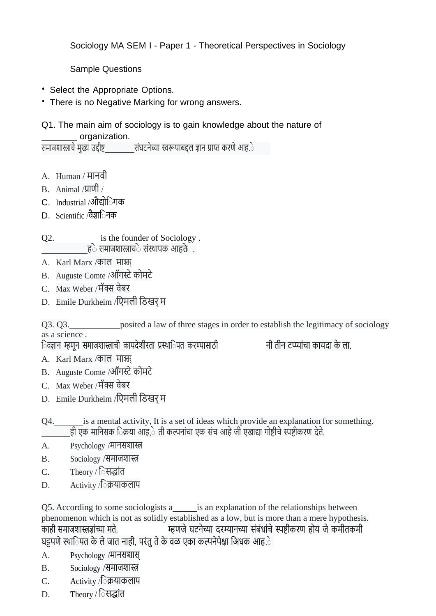Sociology MA SEM I - Paper 1 - Theoretical Perspectives in Sociology

Sample Questions

- Select the Appropriate Options.
- There is no Negative Marking for wrong answers.
- Q1. The main aim of sociology is to gain knowledge about the nature of organization.

समाजशास्त्राचे मुख्य उद्दीष्ट संघटनेच्या स्वरूपाबद्दल ज्ञान प्राप्त करणे आह.े

- A. Human / मानवी
- B. Animal /प्राणी /
- C. Industrial /औद्योिेगक
- D. Scientific /वैज्ञािेनक

Q2. is the founder of Sociology. हेेसमाजशास्त्राचेेसंस्थापक आहतेे .

- A. Karl Marx /काल माक्सर
- B. Auguste Comte /ऑगस्टेकोमटे
- C. Max Weber /मॅक्स वेबर
- D. Emile Durkheim /ििमली ििखर म

Q3. Q3. posited a law of three stages in order to establish the legitimacy of sociology as a science .

िवज्ञान म्हणून समाजशास्त्राची कायदेशीरता प्रस्थािपत करण्यासाठी <u>पत्री नागार</u> नी तीन टप्प्यांचा कायदा के ला.

- A. Karl Marx /काल माक्सर
- B. Auguste Comte /ऑगस्टेकोमटे
- C. Max Weber /मॅक्स वेबर
- D. Emile Durkheim /ििमली ििखर म
- Q4. is a mental activity, It is a set of ideas which provide an explanation for something. ही एक मानिसक िक्रया आह,े ती कल्पनांचा एक संच आहे जी एखाद्या गोष्टीचे स्पष्टीकरण देते.
- A. Psychology /मानसशास्त्र
- B. Sociology /समाजशास्त्र
- C. Theory / िेसद्ांत
- D. Activity /िेक्रयाकलाप

Q5. According to some sociologists a is an explanation of the relationships between phenomenon which is not as solidly established as a low, but is more than a mere hypothesis. काही समाजशास्त्रज्ञांच्या मते, म्हणजेघटनेच्या दरम्यानच्या संबंधांचेस्पष्टीकरण होय जेकमीतकमी घट्टपणे स्थािपत के ले जात नाही, परंतु ते के वळ एका कल्पनेपेक्षा अिधक आह.े

- A. Psychology /मानसशास
- B. Sociology /समाजशास्त्र
- C. Activity /िेक्रयाकलाप
- D. Theory / िेसद्ांत